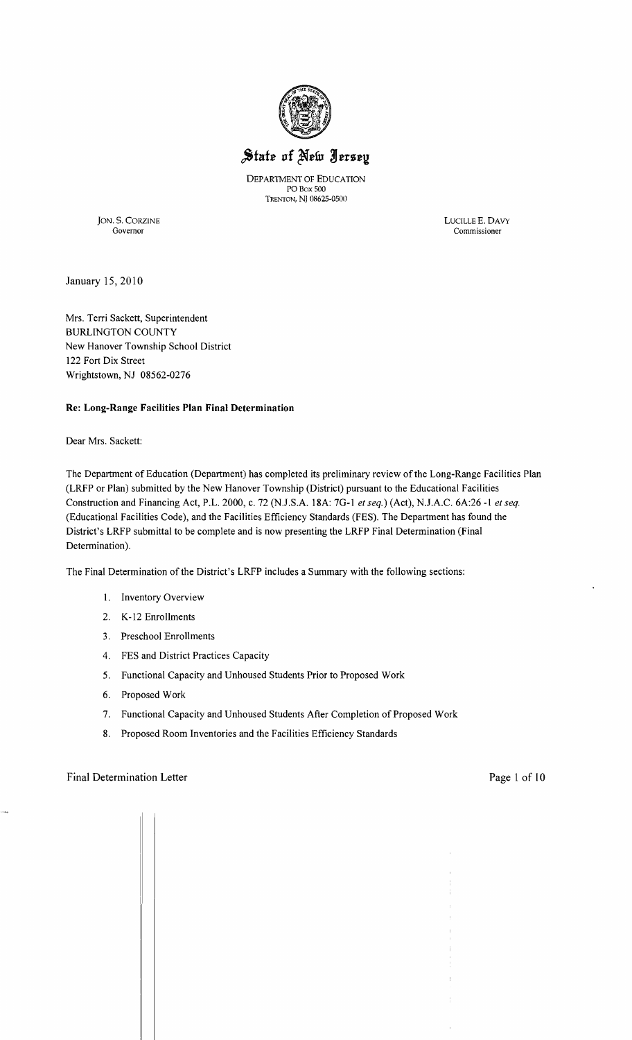

# State of New Jersey

DEPARTMENT OF EDUCATION POBox SOO TRENfON, Nj 08625-0500

JON. S. CORZINE LUCILLE E. DAVY Governor Commissioner

January 15,2010

Mrs. Terri Sackett, Superintendent BURLINGTON COUNTY New Hanover Township School District 122 Fort Dix Street Wrightstown, NJ 08562-0276

#### Re: Long-Range Facilities **Plan Final** Determination

Dear Mrs. Sackett:

The Department of Education (Department) has completed its preliminary review of the Long-Range Facilities Plan (LRFP or Plan) submitted by the New Hanover Township (District) pursuant to the Educational Facilities Construction and Financing Act, P.L. 2000, c. 72 (NJ.S.A. 18A: 7G-I *et seq.)* (Act), N.J.A.C. 6A:26 -I *et seq.*  (Educational Facilities Code), and the Facilities Efficiency Standards (FES). The Department has found the District's LRFP submittal to be complete and is now presenting the LRFP Final Determination (Final Determination).

The Final Determination of the District's LRFP includes a Summary with the following sections:

- I. Inventory Overview
- 2. K-12 Enrollments
- 3. Preschool Enrollments
- 4. FES and District Practices Capacity
- 5. Functional Capacity and Unhoused Students Prior to Proposed Work
- 6. Proposed Work

 $\sqrt{1}$   $\sqrt{1}$ 

- 7. Functional Capacity and Unhoused Students After Completion of Proposed Work
- 8. Proposed Room Inventories and the Facilities Efficiency Standards

#### Final Determination Letter Page 1 of 10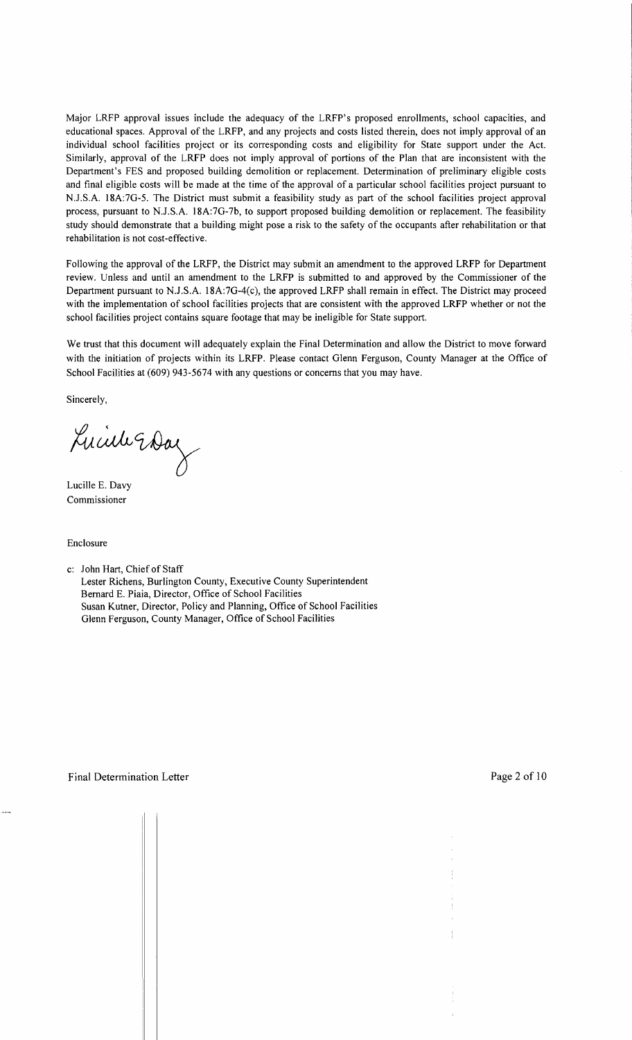Major LRFP approval issues include the adequacy of the LRFP's proposed enrollments, school capacities, and educational spaces. Approval of the LRFP, and any projects and costs listed therein, does not imply approval of an individual school facilities project or its corresponding costs and eligibility for State support under the Act. Similarly, approval of the LRFP does not imply approval of portions of the Plan that are inconsistent with the Department's FES and proposed building demolition or replacement. Determination of preliminary eligible costs and final eligible costs will be made at the time of the approval of a particular school facilities project pursuant to NJ.S.A. 18A:7G-5. The District must submit a feasibility study as part of the school facilities project approval process, pursuant to NJ.S.A. 18A:7G-7b, to support proposed building demolition or replacement. The feasibility study should demonstrate that a building might pose a risk to the safety of the occupants after rehabilitation or that rehabilitation is not cost-effective.

Following the approval of the LRFP, the District may submit an amendment to the approved LRFP for Department review. Unless and until an amendment to the LRFP is submitted to and approved by the Commissioner of the Department pursuant to NJ.S.A. 18A:7G-4(c), the approved LRFP shall remain in effect. The District may proceed with the implementation of school facilities projects that are consistent with the approved LRFP whether or not the school facilities project contains square footage that may be ineligible for State support.

We trust that this document will adequately explain the Final Determination and allow the District to move forward with the initiation of projects within its LRFP. Please contact Glenn Ferguson, County Manager at the Office of School Facilities at (609) 943-5674 with any questions or concerns that you may have.

Sincerely,

Lucille Eday

Lucille E. Davy Commissioner

Enclosure

c: John Hart, Chief of Staff Lester Richens, Burlington County, Executive County Superintendent Bernard E. Piaia, Director, Office of School Facilities Susan Kutner, Director, Policy and Planning, Office of School Facilities Glenn Ferguson, County Manager, Office of School Facilities

 $d = 1$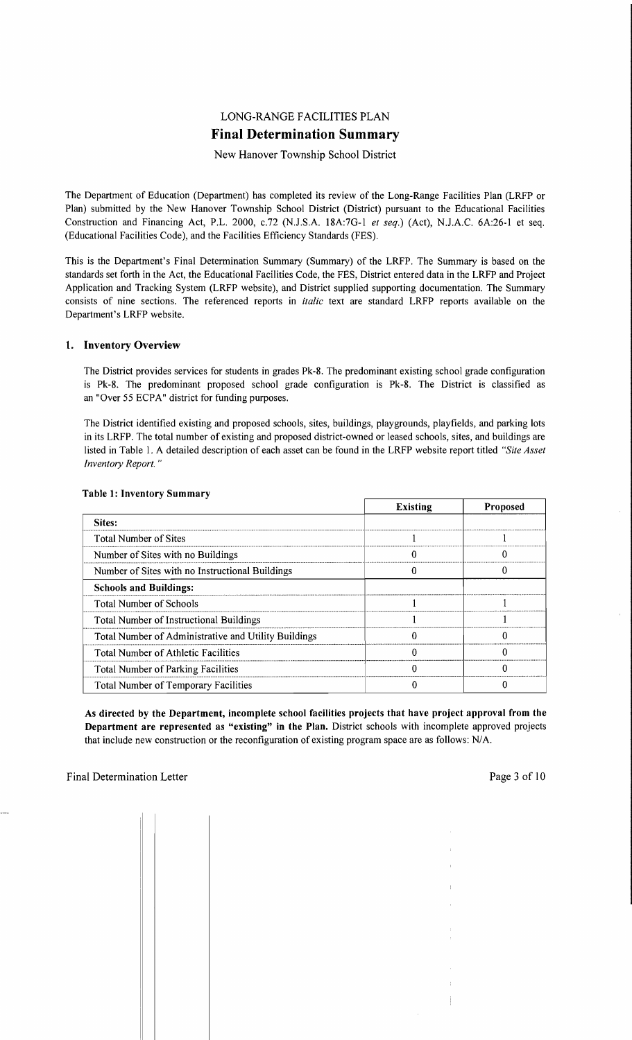## LONG-RANGE FACILITIES PLAN **Final Determination Summary**

New Hanover Township School District

The Department of Education (Department) has completed its review of the Long-Range Facilities Plan (LRFP or Plan) submitted by the New Hanover Township School District (District) pursuant to the Educational Facilities Construction and Financing Act, P.L. 2000, *c.*72 (N.J.S.A. 18A:7G-1 *et seq.*) (Act), N.J.A.C. 6A:26-1 et seq. (Educational Facilities Code), and the Facilities Efficiency Standards (FES).

This is the Department's Final Determination Summary (Summary) of the LRFP. The Summary is based on the standards set forth in the Act, the Educational Facilities Code, the FES, District entered data in the LRFP and Project Application and Tracking System (LRFP website), and District supplied supporting documentation. The Summary consists of nine sections. The referenced reports in *italic* text are standard LRFP reports available on the Department's LRFP website.

#### 1. Inventory Overview

The District provides services for students in grades Pk-8. The predominant existing school grade configuration is Pk-8. The predominant proposed school grade configuration is Pk-8. The District is classified as an "Over 55 ECPA" district for funding purposes.

The District identified existing and proposed schools, sites, buildings, playgrounds, playfields, and parking lots in its LRFP. The total number of existing and proposed district-owned or leased schools, sites, and buildings are listed in Table I. A detailed description of each asset can be found in the LRFP website report titled *"Site Asset Inventory Report. "* 

|                                                      | <b>Existing</b> | <b>Proposed</b> |
|------------------------------------------------------|-----------------|-----------------|
| Sites:                                               |                 |                 |
| <b>Total Number of Sites</b>                         |                 |                 |
| Number of Sites with no Buildings                    |                 |                 |
| Number of Sites with no Instructional Buildings      |                 |                 |
| <b>Schools and Buildings:</b>                        |                 |                 |
| <b>Total Number of Schools</b>                       |                 |                 |
| Total Number of Instructional Buildings              |                 |                 |
| Total Number of Administrative and Utility Buildings |                 |                 |
| <b>Total Number of Athletic Facilities</b>           |                 |                 |
| <b>Total Number of Parking Facilities</b>            |                 |                 |
| <b>Total Number of Temporary Facilities</b>          |                 |                 |

#### Table l' Inventory Summary

As directed by the Department, incomplete school facilities projects that have project approval from the Department are represented as "existing" in the Plan. District schools with incomplete approved projects that include new construction or the reconfiguration of existing program space are as follows: N/A.

 $\mathbb{R}$   $\mathbb{R}$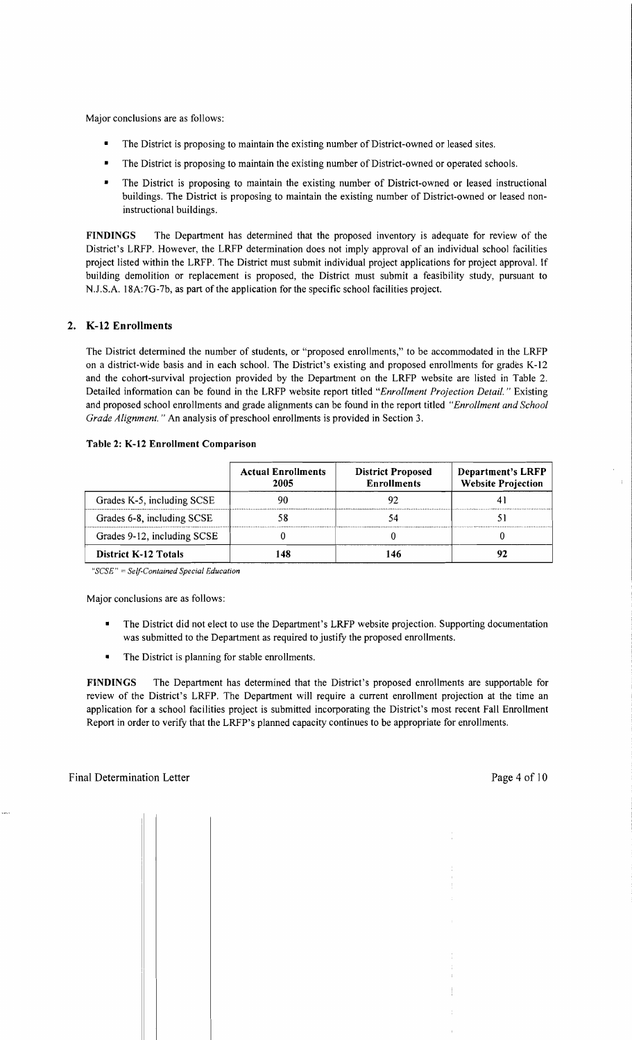Major conclusions are as follows:

- The District is proposing to maintain the existing number of District-owned or leased sites.
- The District is proposing to maintain the existing number of District-owned or operated schools.
- The District is proposing to maintain the existing number of District-owned or leased instructional buildings. The District is proposing to maintain the existing number of District-owned or leased noninstructional buildings.

FINDINGS The Department has determined that the proposed inventory is adequate for review of the District's LRFP. However, the LRFP determination does not imply approval of an individual school facilities project listed within the LRFP. The District must submit individual project applications for project approval. If building demolition or replacement is proposed, the District must submit a feasibility study, pursuant to NJ.S.A. 18A:7G-7b, as part of the application for the specific school facilities project.

## 2. K-12 Enrollments

The District determined the number of students, or "proposed enrollments," to be accommodated in the LRFP on a district-wide basis and in each school. The District's existing and proposed enrollments for grades K-12 and the cohort-survival projection provided by the Department on the LRFP website are listed in Table 2. Detailed information can be found in the LRFP website report titled *"Enrollment Projection Detail.* " Existing and proposed school enrollments and grade alignments can be found in the report titled *"Enrollment and School Grade Alignment."* An analysis of preschool enrollments is provided in Section 3.

|                             | <b>Actual Enrollments</b><br>2005 | <b>District Proposed</b><br><b>Enrollments</b> | <b>Department's LRFP</b><br><b>Website Projection</b> |
|-----------------------------|-----------------------------------|------------------------------------------------|-------------------------------------------------------|
| Grades K-5, including SCSE  |                                   |                                                |                                                       |
| Grades 6-8, including SCSE  |                                   |                                                |                                                       |
| Grades 9-12, including SCSE |                                   |                                                |                                                       |
| <b>District K-12 Totals</b> | 148                               |                                                |                                                       |

#### Table 2: K-12 Enrollment Comparison

*"SCSE"* = *Self-Contained Special Education* 

Major conclusions are as follows:

- The District did not elect to use the Department's LRFP website projection. Supporting documentation was submitted to the Department as required to justify the proposed enrollments.
- The District is planning for stable enrollments.

FINDINGS The Department has determined that the District's proposed enrollments are supportable for review of the District's LRFP. The Department will require a current enrollment projection at the time an application for a school facilities project is submitted incorporating the District's most recent Fall Enrollment Report in order to verify that the LRFP's planned capacity continues to be appropriate for enrollments.

 $\mathbb{L}$   $\mathbb{L}$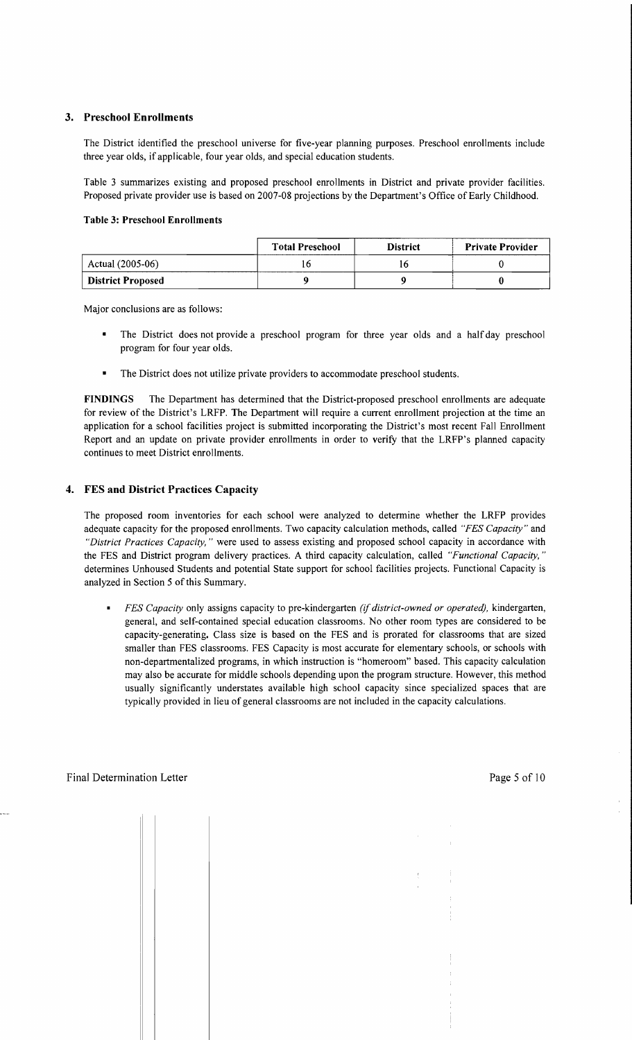#### 3. Preschool Enrollments

The District identified the preschool universe for five-year planning purposes. Preschool enrollments include three year olds, if applicable, four year olds, and special education students.

Table 3 summarizes existing and proposed preschool enrollments in District and private provider facilities. Proposed private provider use is based on 2007-08 projections by the Department's Office of Early Childhood.

#### Table 3: Preschool Enrollments

|                          | <b>Total Preschool</b> | <b>District</b> | <b>Private Provider</b> |
|--------------------------|------------------------|-----------------|-------------------------|
| Actual (2005-06)         |                        |                 |                         |
| <b>District Proposed</b> |                        |                 |                         |

Major conclusions are as follows:

- The District does not provide a preschool program for three year olds and a half day preschool program for four year olds.
- The District does not utilize private providers to accommodate preschool students.

FINDINGS The Department has determined that the District-proposed preschool enrollments are adequate for review of the District's LRFP. The Department will require a current enrollment projection at the time an application for a school facilities project is submitted incorporating the District's most recent Fall Enrollment Report and an update on private provider enrollments in order to verify that the LRFP's planned capacity continues to meet District enrollments.

#### 4. FES and District Practices Capacity

The proposed room inventories for each school were analyzed to determine whether the LRFP provides adequate capacity for the proposed enrollments. Two capacity calculation methods, called *"FES Capacity"* and *"District Practices Capacity,* " were used to assess existing and proposed school capacity in accordance with the FES and District program delivery practices. A third capacity calculation, called *"Functional Capacity, "*  determines Unhoused Students and potential State support for school facilities projects. Functional Capacity is analyzed in Section 5 of this Summary.

*FES Capacity* only assigns capacity to pre-kindergarten *(if district-owned or operated),* kindergarten, general, and self-contained special education classrooms. No other room types are considered to be capacity-generating. Class size is based on the FES and is prorated for classrooms that are sized smaller than FES classrooms. FES Capacity is most accurate for elementary schools, or schools with non-departmentalized programs, in which instruction is "homeroom" based. This capacity calculation may also be accurate for middle schools depending upon the program structure. However, this method usually significantly understates available high school capacity since specialized spaces that are typically provided in lieu of general classrooms are not included in the capacity calculations.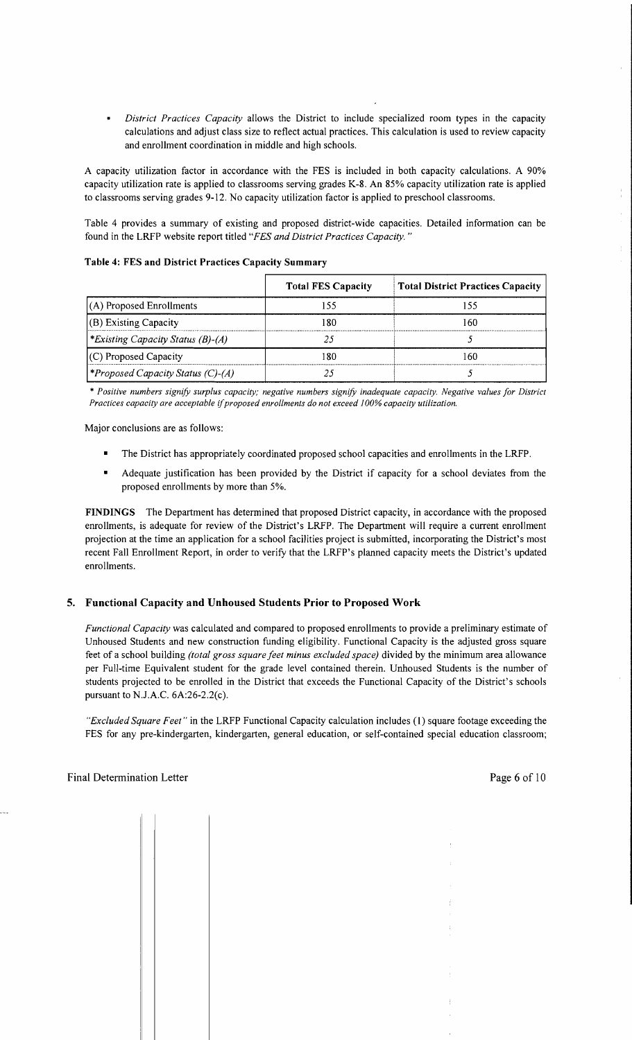*District Practices Capacity* allows the District to include specialized room types in the capacity calculations and adjust class size to reflect actual practices. This calculation is used to review capacity and enrollment coordination in middle and high schools.

A capacity utilization factor in accordance with the FES is included in both capacity calculations. A 90% capacity utilization rate is applied to classrooms serving grades K-8. An 85% capacity utilization rate is applied to classrooms serving grades 9-12. No capacity utilization factor is applied to preschool classrooms.

Table 4 provides a summary of existing and proposed district-wide capacities. Detailed information can be found in the LRFP website report titled *"FES and District Practices Capacity. "* 

| Table 4: FES and District Practices Capacity Summary |  |
|------------------------------------------------------|--|
|------------------------------------------------------|--|

|                                                 | <b>Total FES Capacity</b> | <b>Total District Practices Capacity</b> |
|-------------------------------------------------|---------------------------|------------------------------------------|
| $(A)$ Proposed Enrollments                      |                           | 155                                      |
| (B) Existing Capacity                           | 80                        | 160                                      |
| <i>*Existing Capacity Status (B)-(A)</i>        |                           |                                          |
| $(C)$ Proposed Capacity                         | 80                        | 160                                      |
| <i><b>*Proposed Capacity Status (C)-(A)</b></i> |                           |                                          |

*\* Positive numbers signifY surplus capacity; negative numbers signifY inadequate capacity. Negative values for District Practices capacity are acceptable* if*proposed enrollments do not exceed 100% capacity utilization.* 

Major conclusions are as follows:

- The District has appropriately coordinated proposed school capacities and enrollments in the LRFP.
- Adequate justification has been provided by the District if capacity for a school deviates from the proposed enrollments by more than 5%.

FINDINGS The Department has determined that proposed District capacity, in accordance with the proposed enrollments, is adequate for review of the District's LRFP. The Department will require a current enrollment projection at the time an application for a school facilities project is submitted, incorporating the District's most recent Fall Enrollment Report, in order to verify that the LRFP's planned capacity meets the District's updated enrollments.

#### 5. Functional Capacity and Unhoused Students Prior to Proposed Work

*Functional Capacity* was calculated and compared to proposed enrollments to provide a preliminary estimate of Unhoused Students and new construction funding eligibility. Functional Capacity is the adjusted gross square feet of a school building *(total gross square feet minus excluded space)* divided by the minimum area allowance per Full-time Equivalent student for the grade level contained therein. Unhoused Students is the number of students projected to be enrolled in the District that exceeds the Functional Capacity of the District's schools pursuant to N.J.A.C. 6A:26-2.2(c).

*"Excluded Square Feet"* in the LRFP Functional Capacity calculation includes (1) square footage exceeding the FES for any pre-kindergarten, kindergarten, general education, or self-contained special education classroom;

 $\sim$  1

 $\frac{1}{4}$  $\bar{z}$ 

 $\mathbb{C}$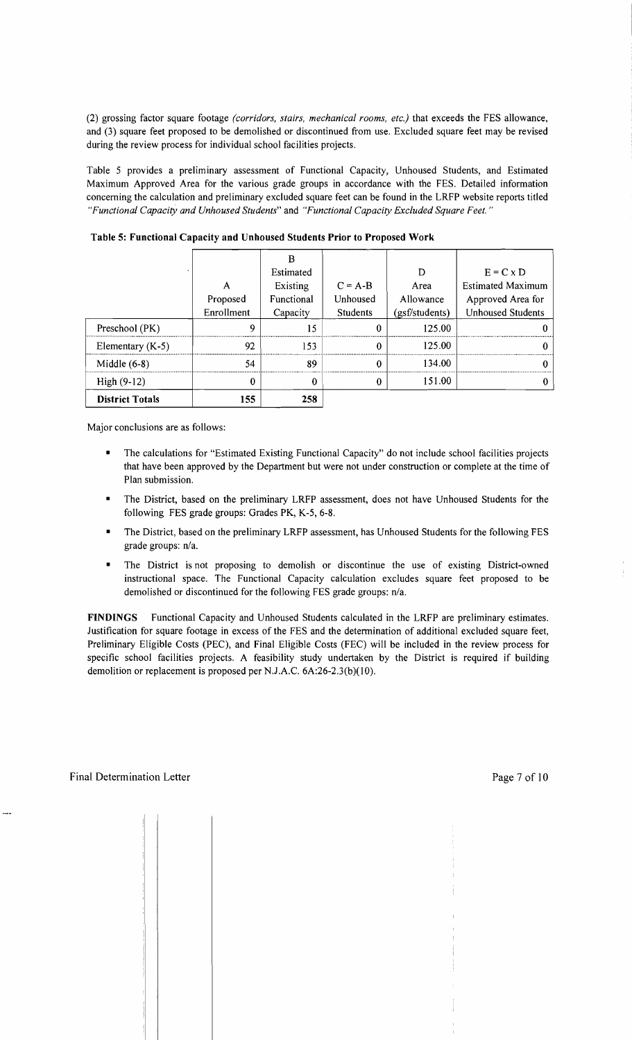(2) grossing factor square footage *(corridors, stairs, mechanical rooms, etc.)* that exceeds the FES allowance, and (3) square feet proposed to be demolished or discontinued from use. Excluded square feet may be revised during the review process for individual school facilities projects.

Table 5 provides a preliminary assessment of Functional Capacity, Unhoused Students, and Estimated Maximum Approved Area for the various grade groups in accordance with the FES. Detailed information concerning the calculation and preliminary excluded square feet can be found in the LRFP website reports titled *"Functional Capacity and Unhoused Students"* and *"Functional Capacity Excluded Square Feet. "* 

| High $(9-12)$      | 0          | 0          | $\Omega$  | 151.00         |                          |
|--------------------|------------|------------|-----------|----------------|--------------------------|
| Middle $(6-8)$     | 54         | 89         | $\Omega$  | 134.00         |                          |
| Elementary $(K-5)$ | 92         | 153        | $\Omega$  | 125.00         |                          |
| Preschool (PK)     | 9          | 15         | $\Omega$  | 125.00         |                          |
|                    | Enrollment | Capacity   | Students  | (gsf/students) | <b>Unhoused Students</b> |
|                    | Proposed   | Functional | Unhoused  | Allowance      | Approved Area for        |
|                    | А          | Existing   | $C = A-B$ | Area           | <b>Estimated Maximum</b> |
|                    |            | Estimated  |           | D              | $E = C \times D$         |
|                    |            |            |           |                |                          |

Table 5: Functional Capacity and Unhoused Students Prior to Proposed Work

Major conclusions are as follows:

- The calculations for "Estimated Existing Functional Capacity" do not include school facilities projects that have been approved by the Department but were not under construction or complete at the time of Plan submission.
- The District, based on the preliminary LRFP assessment, does not have Unhoused Students for the following FES grade groups: Grades PK, K-5, 6-8.
- The District, based on the preliminary LRFP assessment, has Unhoused Students for the following FES grade groups: n/a.
- The District is not proposing to demolish or discontinue the use of existing District-owned instructional space. The Functional Capacity calculation excludes square feet proposed to be demolished or discontinued for the following FES grade groups: n/a.

FINDINGS Functional Capacity and Unhoused Students calculated in the LRFP are preliminary estimates. Justification for square footage in excess of the FES and the determination of additional excluded square feet, Preliminary Eligible Costs (PEC), and Final Eligible Costs (FEC) will be included in the review process for specific school facilities projects. A feasibility study undertaken by the District is required if building demolition or replacement is proposed per NJ.A.C. 6A:26-2.3(b)(10).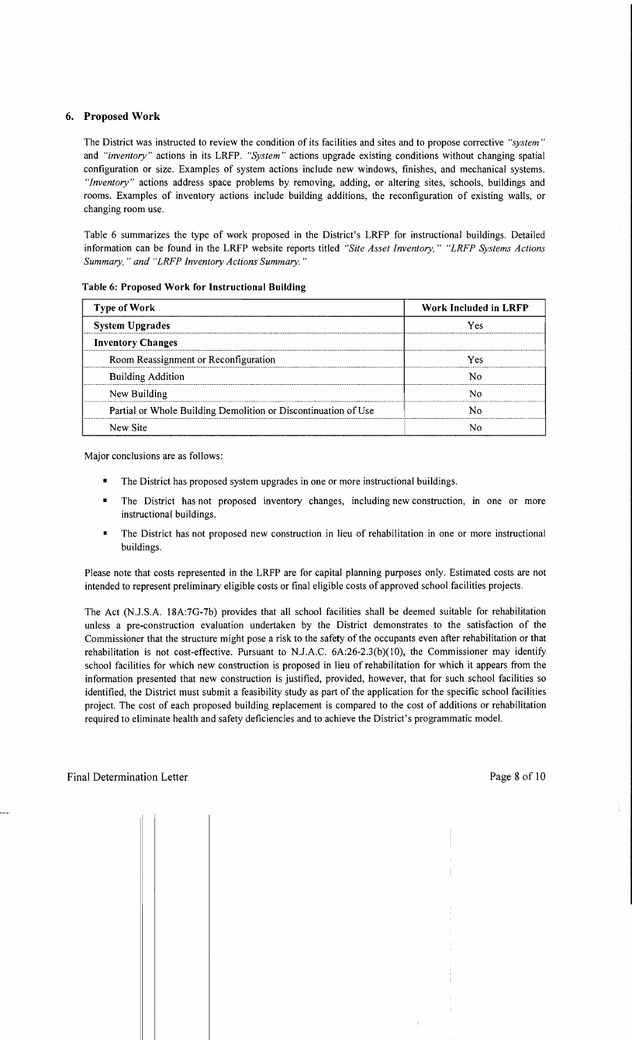#### 6. Proposed Work

The District was instructed to review the condition of its facilities and sites and to propose corrective *"system"*  and *"inventory"* actions in its LRFP. *"System"* actions upgrade existing conditions without changing spatial configuration or size. Examples of system actions include new windows, finishes, and mechanical systems. *"Inventory"* actions address space problems by removing, adding, or altering sites, schools, buildings and rooms. Examples of inventory actions include building additions, the reconfiguration of existing walls, or changing room use.

Table 6 summarizes the type of work proposed in the District's LRFP for instructional buildings. Detailed information can be found in the LRFP website reports titled *"Site Asset Inventory," "LRFP Systems Actions Summary,* " *and "LRFP Inventory Actions Summary. "* 

| <b>Type of Work</b>                                            | Work Included in LRFP |
|----------------------------------------------------------------|-----------------------|
| <b>System Upgrades</b>                                         | Yes                   |
| <b>Inventory Changes</b>                                       |                       |
| Room Reassignment or Reconfiguration                           | Yes                   |
| <b>Building Addition</b>                                       | N٥                    |
| New Building                                                   | N٥                    |
| Partial or Whole Building Demolition or Discontinuation of Use | N٥                    |
| New Site                                                       |                       |

#### Table 6: Proposed Work for Instructional Building

Major conclusions are as follows:

- The District has proposed system upgrades in one or more instructional buildings.
- The District has not proposed inventory changes, including new construction, in one or more instructional buildings.
- The District has not proposed new construction in lieu of rehabilitation in one or more instructional buildings.

Please note that costs represented in the LRFP are for capital planning purposes only. Estimated costs are not intended to represent preliminary eligible costs or final eligible costs of approved school facilities projects.

The Act (N.J.S.A. 18A:7G-7b) provides that all school facilities shall be deemed suitable for rehabilitation unless a pre-construction evaluation undertaken by the District demonstrates to the satisfaction of the Commissioner that the structure might pose a risk to the safety of the occupants even after rehabilitation or that rehabilitation is not cost-effective. Pursuant to N.J.A.C.  $6A:26-2.3(b)(10)$ , the Commissioner may identify school facilities for which new construction is proposed in lieu of rehabilitation for which it appears from the information presented that new construction is justified, provided, however, that for such school facilities so identified, the District must submit a feasibility study as part of the application for the specific school facilities project. The cost of each proposed building replacement is compared to the cost of additions or rehabilitation required to eliminate health and safety deficiencies and to achieve the District's programmatic model.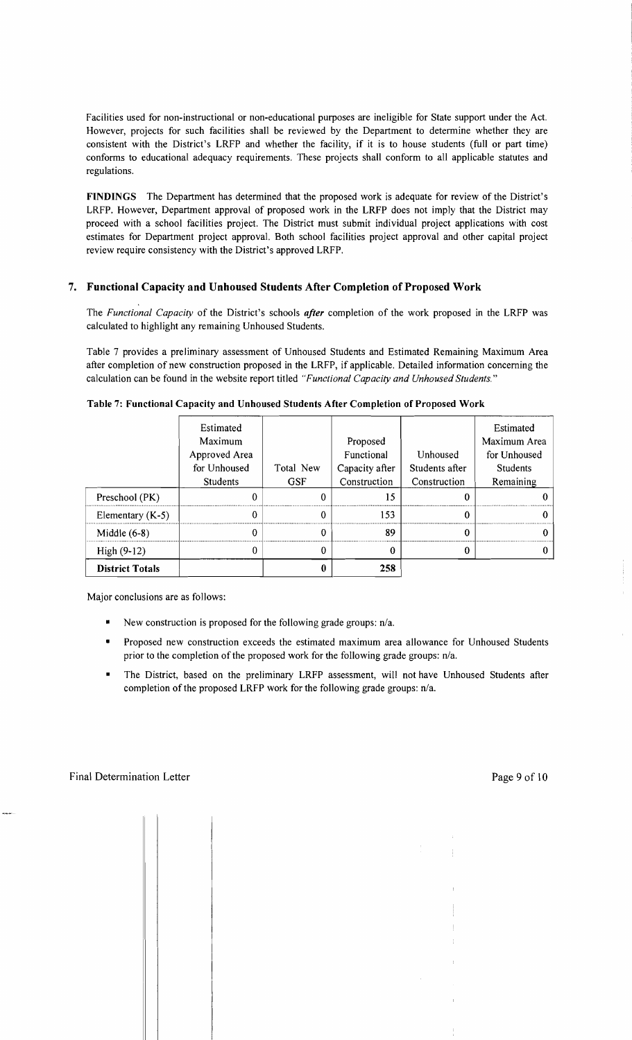Facilities used for non-instructional or non-educational purposes are ineligible for State support under the Act. However, projects for such facilities shall be reviewed by the Department to determine whether they are consistent with the District's LRFP and whether the facility, if it is to house students (full or part time) conforms to educational adequacy requirements. These projects shall conform to all applicable statutes and regulations.

**FINDINGS** The Department has determined that the proposed work is adequate for review of the District's LRFP. However, Department approval of proposed work in the LRFP does not imply that the District may proceed with a school facilities project. The District must submit individual project applications with cost estimates for Department project approval. Both school facilities project approval and other capital project review require consistency with the District's approved LRFP.

## **7. Functional Capacity and Unhoused Students After Completion** of Proposed **Work**

The *Functional Capacity* of the District's schools *after* completion of the work proposed in the LRFP was calculated to highlight any remaining Unhoused Students.

Table 7 provides a preliminary assessment of Unhoused Students and Estimated Remaining Maximum Area after completion of new construction proposed in the LRFP, if applicable. Detailed information concerning the calculation can be found in the website report titled *"Functional Capacity and Unhoused Students."* 

|                        | Estimated<br>Maximum<br>Approved Area<br>for Unhoused<br><b>Students</b> | Total New<br><b>GSF</b> | Proposed<br>Functional<br>Capacity after<br>Construction | Unhoused<br>Students after<br>Construction | Estimated<br>Maximum Area<br>for Unhoused<br><b>Students</b><br>Remaining |
|------------------------|--------------------------------------------------------------------------|-------------------------|----------------------------------------------------------|--------------------------------------------|---------------------------------------------------------------------------|
| Preschool (PK)         |                                                                          | 0                       | 15                                                       |                                            |                                                                           |
| Elementary $(K-5)$     |                                                                          | 0                       | 153                                                      |                                            |                                                                           |
| Middle $(6-8)$         |                                                                          |                         | 89                                                       |                                            |                                                                           |
| $High (9-12)$          |                                                                          |                         | $_{0}$                                                   |                                            |                                                                           |
| <b>District Totals</b> |                                                                          |                         | 258                                                      |                                            |                                                                           |

**Table 7: Functional Capacity and Unhoused Students After Completion of Proposed Work** 

Major conclusions are as follows:

- New construction is proposed for the following grade groups:  $n/a$ .
- Proposed new construction exceeds the estimated maximum area allowance for Unhoused Students prior to the completion of the proposed work for the following grade groups:  $n/a$ .
- The District, based on the preliminary LRFP assessment, will not have Unhoused Students after completion of the proposed LRFP work for the following grade groups: n/a.